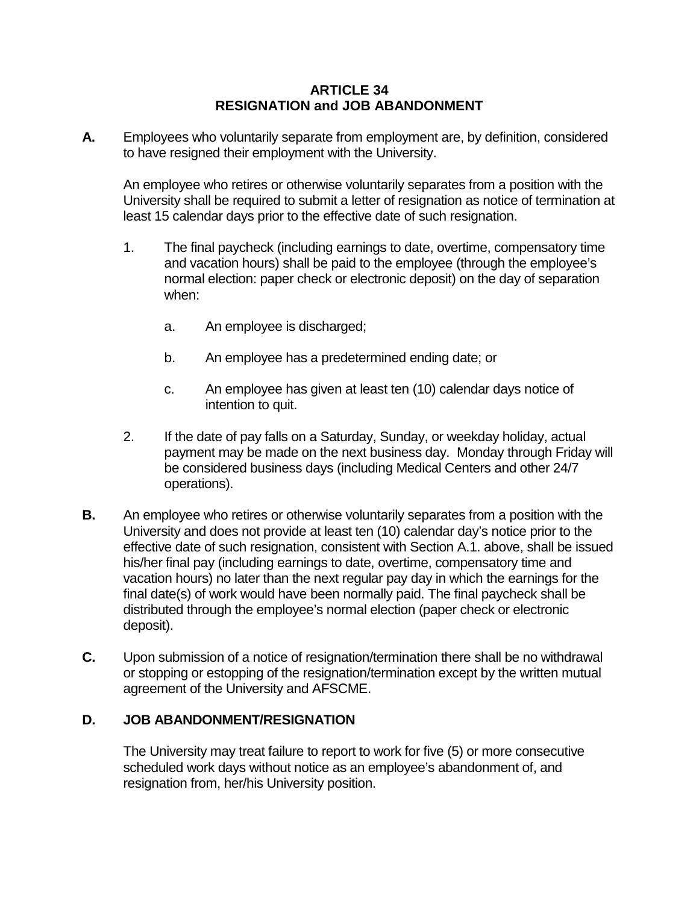## **ARTICLE 34 RESIGNATION and JOB ABANDONMENT**

**A.** Employees who voluntarily separate from employment are, by definition, considered to have resigned their employment with the University.

An employee who retires or otherwise voluntarily separates from a position with the University shall be required to submit a letter of resignation as notice of termination at least 15 calendar days prior to the effective date of such resignation.

- 1. The final paycheck (including earnings to date, overtime, compensatory time and vacation hours) shall be paid to the employee (through the employee's normal election: paper check or electronic deposit) on the day of separation when:
	- a. An employee is discharged;
	- b. An employee has a predetermined ending date; or
	- c. An employee has given at least ten (10) calendar days notice of intention to quit.
- 2. If the date of pay falls on a Saturday, Sunday, or weekday holiday, actual payment may be made on the next business day. Monday through Friday will be considered business days (including Medical Centers and other 24/7 operations).
- **B.** An employee who retires or otherwise voluntarily separates from a position with the University and does not provide at least ten (10) calendar day's notice prior to the effective date of such resignation, consistent with Section A.1. above, shall be issued his/her final pay (including earnings to date, overtime, compensatory time and vacation hours) no later than the next regular pay day in which the earnings for the final date(s) of work would have been normally paid. The final paycheck shall be distributed through the employee's normal election (paper check or electronic deposit).
- **C.** Upon submission of a notice of resignation/termination there shall be no withdrawal or stopping or estopping of the resignation/termination except by the written mutual agreement of the University and AFSCME.

## **D. JOB ABANDONMENT/RESIGNATION**

The University may treat failure to report to work for five (5) or more consecutive scheduled work days without notice as an employee's abandonment of, and resignation from, her/his University position.